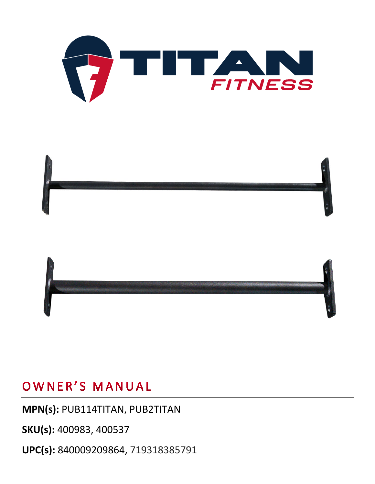



#### **MPN(s):** PUB114TITAN, PUB2TITAN

**SKU(s):** 400983, 400537

**UPC(s):** 840009209864, 719318385791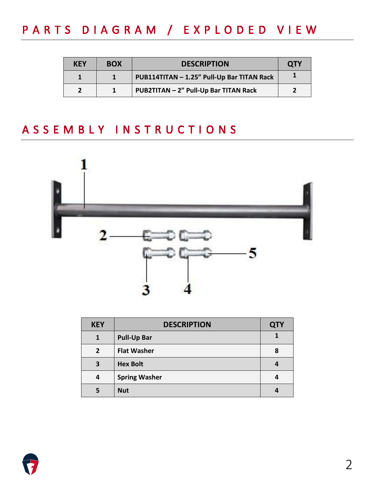# PARTS DIAGRAM / EXPLODED VIEW

| KEY                      | <b>BOX</b> | <b>DESCRIPTION</b>                         | <b>QTY</b> |
|--------------------------|------------|--------------------------------------------|------------|
|                          |            | PUB114TITAN - 1.25" Pull-Up Bar TITAN Rack |            |
| $\overline{\phantom{a}}$ |            | PUB2TITAN - 2" Pull-Up Bar TITAN Rack      |            |

### ASSEMBLY INSTRUCTIONS



| <b>KEY</b>     | <b>DESCRIPTION</b>   | <b>QTY</b> |
|----------------|----------------------|------------|
| 1              | <b>Pull-Up Bar</b>   |            |
| $\overline{2}$ | <b>Flat Washer</b>   | 8          |
| 3              | <b>Hex Bolt</b>      |            |
| 4              | <b>Spring Washer</b> |            |
| 5              | <b>Nut</b>           |            |